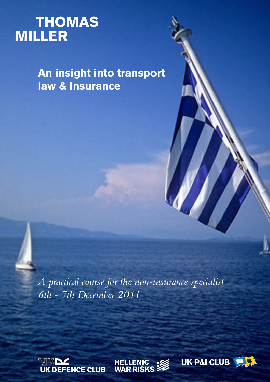# **THOMAS**<br>MILLER

**An insight into transport law & Insurance**

*A practical course for the non-insurance specialist 6th - 7th December 2011*





UK P&I CLUB

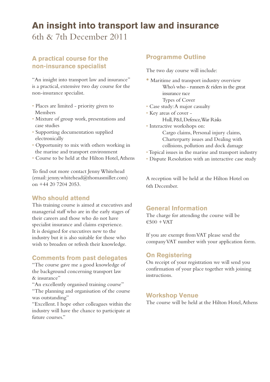# **An insight into transport law and insurance**

6th & 7th December 2011

### **A practical course for the non-insurance specialist**

"An insight into transport law and insurance" is a practical, extensive two day course for the non-insurance specialist.

- Places are limited priority given to Members
- Mixture of group work, presentations and case studies
- Supporting documentation supplied electronically
- Opportunity to mix with others working in the marine and transport environment
- Course to be held at the Hilton Hotel, Athens

To find out more contact Jenny Whitehead (email: jenny.whitehead@thomasmiller.com) on +44 20 7204 2053.

#### **Who should attend**

This training course is aimed at executives and managerial staff who are in the early stages of their careers and those who do not have specialist insurance and claims experience. It is designed for executives new to the industry but it is also suitable for those who wish to broaden or refresh their knowledge.

#### **Comments from past delegates**

"The course gave me a good knowledge of the background concerning transport law & insurance"

"An excellently organised training course"

"The planning and organisation of the course was outstanding"

"Excellent. I hope other colleagues within the industry will have the chance to participate at future courses."

#### **Programme Outline**

The two day course will include:

- Maritime and transport industry overview Who's who - runners & riders in the great insurance race Types of Cover
- Case study: A major casualty
- Key areas of cover Hull, P&I, Defence, War Risks
- Interactive workshops on:

Cargo claims, Personal injury claims, Charterparty issues and Dealing with collisions, pollution and dock damage

- Topical issues in the marine and transport industry
- Dispute Resolution with an interactive case study

A reception will be held at the Hilton Hotel on 6th December.

#### **General Information**

The charge for attending the course will be  $€500 + VAT$ 

If you are exempt from VAT please send the company VAT number with your application form.

#### **On Registering**

On receipt of your registration we will send you confirmation of your place together with joining instructions.

#### **Workshop Venue**

The course will be held at the Hilton Hotel, Athens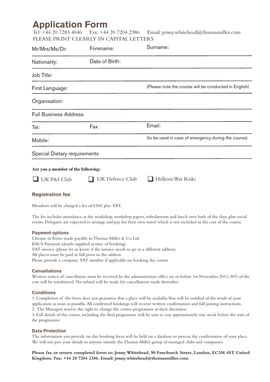# **Application Form**<br>Tel: +44 20 7283 4646 Fax: +44

Fax:  $+44$  20 7204 2386 Email: jenny.whitehead@thomasmiller.com PLEASE PRINT CLEARLY IN CAPITAL LETTERS

| Mr/Mrs/Ms/Dr:                      | Forename:       | Surname:                                              |
|------------------------------------|-----------------|-------------------------------------------------------|
| Nationality:                       | Date of Birth:  |                                                       |
| Job Title:                         |                 |                                                       |
| First Language:                    |                 | (Please note the course will be conducted in English) |
| Organisation:                      |                 |                                                       |
| <b>Full Business Address</b>       |                 |                                                       |
| Tel:                               | Fax:            | Email:                                                |
| Mobile:                            |                 | (to be used in case of emergency during the course)   |
| Special Dietary requirements       |                 |                                                       |
| Are you a member of the following: |                 |                                                       |
| UK P&I Club                        | UK Defence Club | Hellenic War Risks                                    |
| <b>Registration fee</b>            |                 |                                                       |

Members will be charged a fee of €500 plus VAT.

The fee includes attendance at the workshop, workshop papers, refreshments and lunch over both of the days, plus social events. Delegates are expected to arrange and pay for their own travel which is not included in the cost of the course.

#### **Payment options**

Cheque in Euros made payable to Thomas Miller & Co Ltd. BACS Payment (details supplied at time of booking) VAT invoice (please let us know if the invoice needs to go to a different address) All places must be paid in full prior to the address. Please provide a company VAT number if applicable on booking the course

#### **Cancellations**

Written notice of cancellation must be received by the administration office on or before 1st November 2011, 80% of the cost will be reimbursed. No refund will be made for cancellations made thereafter.

#### **Conditions**

1. Completion of the form does not guarantee that a place will be available. You will be notified of the result of your application as soon as possible. All confirmed bookings will receive written confirmation and full joining instructions. 2. The Managers reserve the right to change the course programme at their discretion.

3. Full details of the course, including the final programme will be sent to you approximately one week before the start of the programme.

#### **Data Protection**

The information you provide on this booking form will be held on a database to process the confirmation of your place. We will not pass your details to anyone outside the Thomas Miller group of managed clubs and companies.

**Please fax or return completed form to: Jenny Whitehead, 90 Fenchurch Street, London, EC3M 4ST United Kingdom. Fax: +44 20 7204 2386. Email: jenny.whitehead@thomasmiller.com**